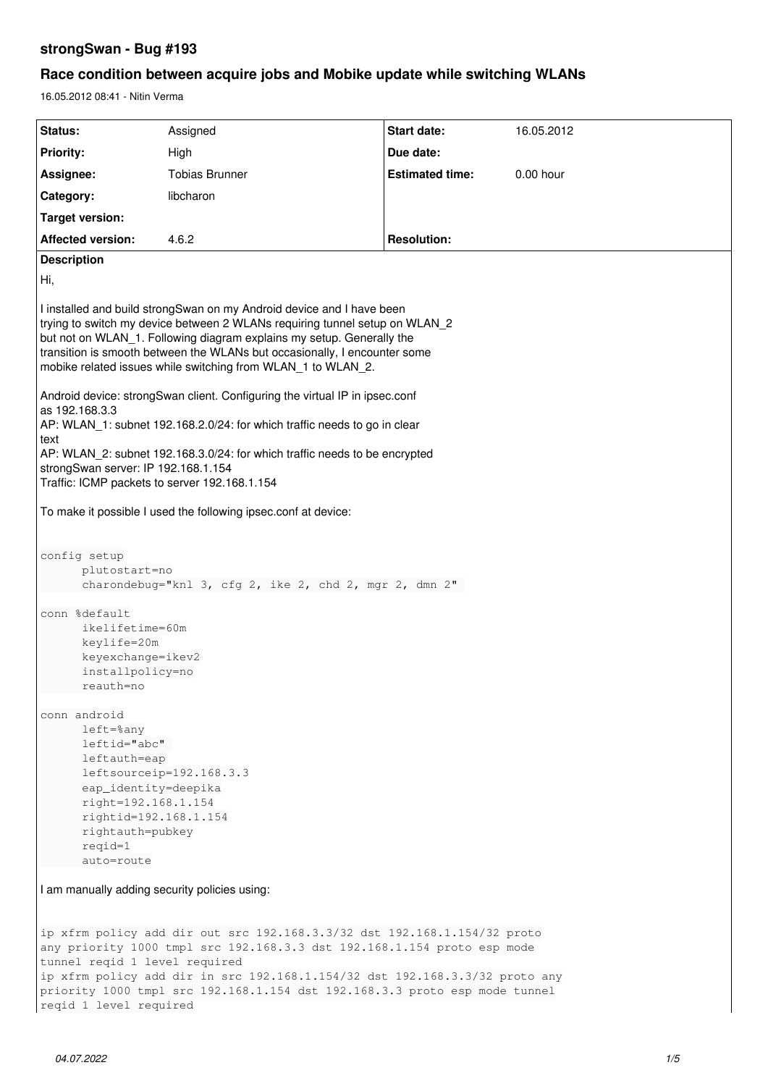## **strongSwan - Bug #193**

# **Race condition between acquire jobs and Mobike update while switching WLANs**

16.05.2012 08:41 - Nitin Verma

| Status:                                                                                                                                                                                                                                                                                                                                                                                                                                                                                                                                                  | Assigned              | Start date:            | 16.05.2012 |
|----------------------------------------------------------------------------------------------------------------------------------------------------------------------------------------------------------------------------------------------------------------------------------------------------------------------------------------------------------------------------------------------------------------------------------------------------------------------------------------------------------------------------------------------------------|-----------------------|------------------------|------------|
| <b>Priority:</b>                                                                                                                                                                                                                                                                                                                                                                                                                                                                                                                                         | High                  | Due date:              |            |
| Assignee:                                                                                                                                                                                                                                                                                                                                                                                                                                                                                                                                                | <b>Tobias Brunner</b> | <b>Estimated time:</b> | 0.00 hour  |
| Category:                                                                                                                                                                                                                                                                                                                                                                                                                                                                                                                                                | libcharon             |                        |            |
| <b>Target version:</b>                                                                                                                                                                                                                                                                                                                                                                                                                                                                                                                                   |                       |                        |            |
| <b>Affected version:</b>                                                                                                                                                                                                                                                                                                                                                                                                                                                                                                                                 | 4.6.2                 | <b>Resolution:</b>     |            |
| <b>Description</b>                                                                                                                                                                                                                                                                                                                                                                                                                                                                                                                                       |                       |                        |            |
| Hi,                                                                                                                                                                                                                                                                                                                                                                                                                                                                                                                                                      |                       |                        |            |
| I installed and build strongSwan on my Android device and I have been<br>trying to switch my device between 2 WLANs requiring tunnel setup on WLAN 2<br>but not on WLAN_1. Following diagram explains my setup. Generally the<br>transition is smooth between the WLANs but occasionally, I encounter some<br>mobike related issues while switching from WLAN_1 to WLAN_2.<br>Android device: strongSwan client. Configuring the virtual IP in ipsec.conf<br>as 192.168.3.3<br>AP: WLAN_1: subnet 192.168.2.0/24: for which traffic needs to go in clear |                       |                        |            |
| text<br>AP: WLAN 2: subnet 192.168.3.0/24: for which traffic needs to be encrypted<br>strongSwan server: IP 192.168.1.154<br>Traffic: ICMP packets to server 192.168.1.154                                                                                                                                                                                                                                                                                                                                                                               |                       |                        |            |
| To make it possible I used the following ipsec.conf at device:                                                                                                                                                                                                                                                                                                                                                                                                                                                                                           |                       |                        |            |
| config setup<br>plutostart=no<br>charondebug="knl 3, cfg 2, ike 2, chd 2, mgr 2, dmn 2"<br>conn %default<br>ikelifetime=60m                                                                                                                                                                                                                                                                                                                                                                                                                              |                       |                        |            |
| keylife=20m<br>keyexchange=ikev2<br>installpolicy=no<br>reauth=no                                                                                                                                                                                                                                                                                                                                                                                                                                                                                        |                       |                        |            |
| conn android<br>left=%any<br>leftid="abc"<br>leftauth=eap<br>leftsourceip=192.168.3.3<br>eap_identity=deepika<br>right=192.168.1.154<br>rightid=192.168.1.154<br>rightauth=pubkey<br>$reqid = 1$<br>auto=route                                                                                                                                                                                                                                                                                                                                           |                       |                        |            |
| I am manually adding security policies using:                                                                                                                                                                                                                                                                                                                                                                                                                                                                                                            |                       |                        |            |
| ip xfrm policy add dir out src 192.168.3.3/32 dst 192.168.1.154/32 proto<br>any priority 1000 tmpl src 192.168.3.3 dst 192.168.1.154 proto esp mode<br>tunnel reqid 1 level required<br>ip xfrm policy add dir in src 192.168.1.154/32 dst 192.168.3.3/32 proto any<br>priority 1000 tmpl src 192.168.1.154 dst 192.168.3.3 proto esp mode tunnel<br>reqid 1 level required                                                                                                                                                                              |                       |                        |            |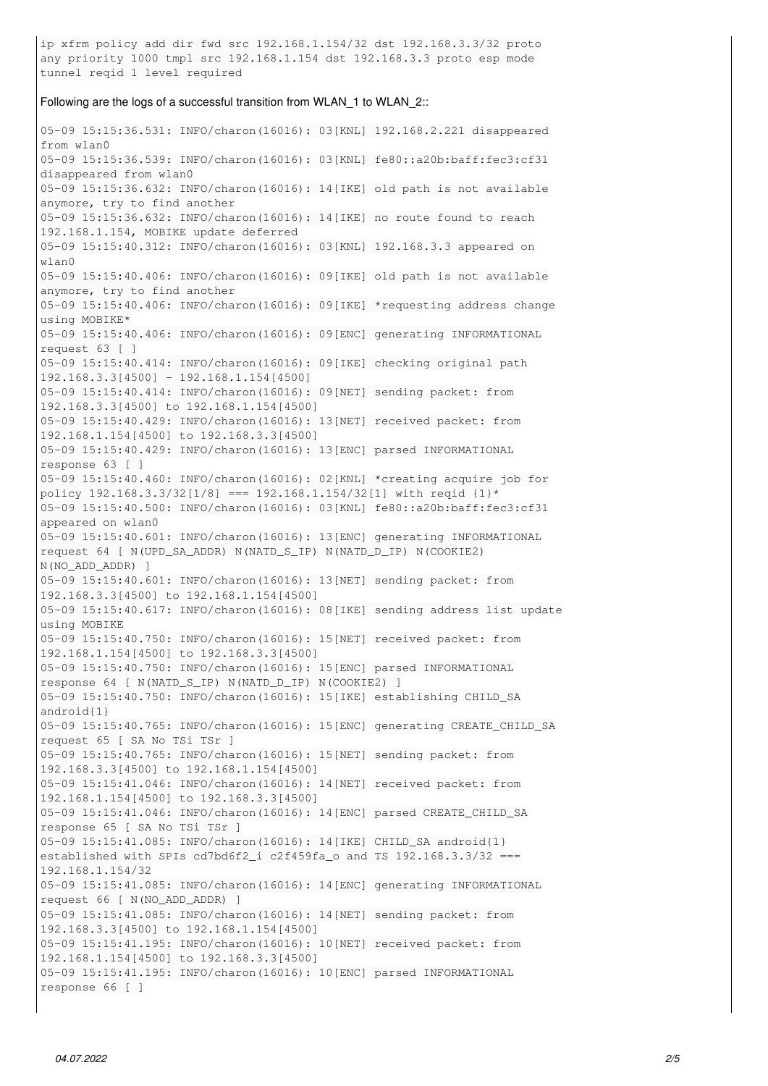ip xfrm policy add dir fwd src 192.168.1.154/32 dst 192.168.3.3/32 proto any priority 1000 tmpl src 192.168.1.154 dst 192.168.3.3 proto esp mode tunnel reqid 1 level required

#### Following are the logs of a successful transition from WLAN\_1 to WLAN\_2::

05-09 15:15:36.531: INFO/charon(16016): 03[KNL] 192.168.2.221 disappeared from wlan0 05-09 15:15:36.539: INFO/charon(16016): 03[KNL] fe80::a20b:baff:fec3:cf31 disappeared from wlan0 05-09 15:15:36.632: INFO/charon(16016): 14[IKE] old path is not available anymore, try to find another 05-09 15:15:36.632: INFO/charon(16016): 14[IKE] no route found to reach 192.168.1.154, MOBIKE update deferred 05-09 15:15:40.312: INFO/charon(16016): 03[KNL] 192.168.3.3 appeared on wlan0 05-09 15:15:40.406: INFO/charon(16016): 09[IKE] old path is not available anymore, try to find another 05-09 15:15:40.406: INFO/charon(16016): 09[IKE] \*requesting address change using MOBIKE\* 05-09 15:15:40.406: INFO/charon(16016): 09[ENC] generating INFORMATIONAL request 63 [ ] 05-09 15:15:40.414: INFO/charon(16016): 09[IKE] checking original path 192.168.3.3[4500] - 192.168.1.154[4500] 05-09 15:15:40.414: INFO/charon(16016): 09[NET] sending packet: from 192.168.3.3[4500] to 192.168.1.154[4500] 05-09 15:15:40.429: INFO/charon(16016): 13[NET] received packet: from 192.168.1.154[4500] to 192.168.3.3[4500] 05-09 15:15:40.429: INFO/charon(16016): 13[ENC] parsed INFORMATIONAL response 63 [ ] 05-09 15:15:40.460: INFO/charon(16016): 02[KNL] \*creating acquire job for policy  $192.168.3.3/32[1/8] == 192.168.1.154/32[1] with  $reqid(1)^*$$ 05-09 15:15:40.500: INFO/charon(16016): 03[KNL] fe80::a20b:baff:fec3:cf31 appeared on wlan0 05-09 15:15:40.601: INFO/charon(16016): 13[ENC] generating INFORMATIONAL request 64 [ N(UPD\_SA\_ADDR) N(NATD\_S\_IP) N(NATD\_D\_IP) N(COOKIE2) N(NO\_ADD\_ADDR) ] 05-09 15:15:40.601: INFO/charon(16016): 13[NET] sending packet: from 192.168.3.3[4500] to 192.168.1.154[4500] 05-09 15:15:40.617: INFO/charon(16016): 08[IKE] sending address list update using MOBIKE 05-09 15:15:40.750: INFO/charon(16016): 15[NET] received packet: from 192.168.1.154[4500] to 192.168.3.3[4500] 05-09 15:15:40.750: INFO/charon(16016): 15[ENC] parsed INFORMATIONAL response 64 [ N(NATD\_S\_IP) N(NATD\_D\_IP) N(COOKIE2) ] 05-09 15:15:40.750: INFO/charon(16016): 15[IKE] establishing CHILD\_SA android{1} 05-09 15:15:40.765: INFO/charon(16016): 15[ENC] generating CREATE\_CHILD\_SA request 65 [ SA No TSi TSr ] 05-09 15:15:40.765: INFO/charon(16016): 15[NET] sending packet: from 192.168.3.3[4500] to 192.168.1.154[4500] 05-09 15:15:41.046: INFO/charon(16016): 14[NET] received packet: from 192.168.1.154[4500] to 192.168.3.3[4500] 05-09 15:15:41.046: INFO/charon(16016): 14[ENC] parsed CREATE\_CHILD\_SA response 65 [ SA No TSi TSr ] 05-09 15:15:41.085: INFO/charon(16016): 14[IKE] CHILD\_SA android{1} established with SPIs cd7bd6f2\_i c2f459fa\_o and TS 192.168.3.3/32 === 192.168.1.154/32 05-09 15:15:41.085: INFO/charon(16016): 14[ENC] generating INFORMATIONAL request 66 [ N(NO\_ADD\_ADDR) ] 05-09 15:15:41.085: INFO/charon(16016): 14[NET] sending packet: from 192.168.3.3[4500] to 192.168.1.154[4500] 05-09 15:15:41.195: INFO/charon(16016): 10[NET] received packet: from 192.168.1.154[4500] to 192.168.3.3[4500] 05-09 15:15:41.195: INFO/charon(16016): 10[ENC] parsed INFORMATIONAL response 66 [ ]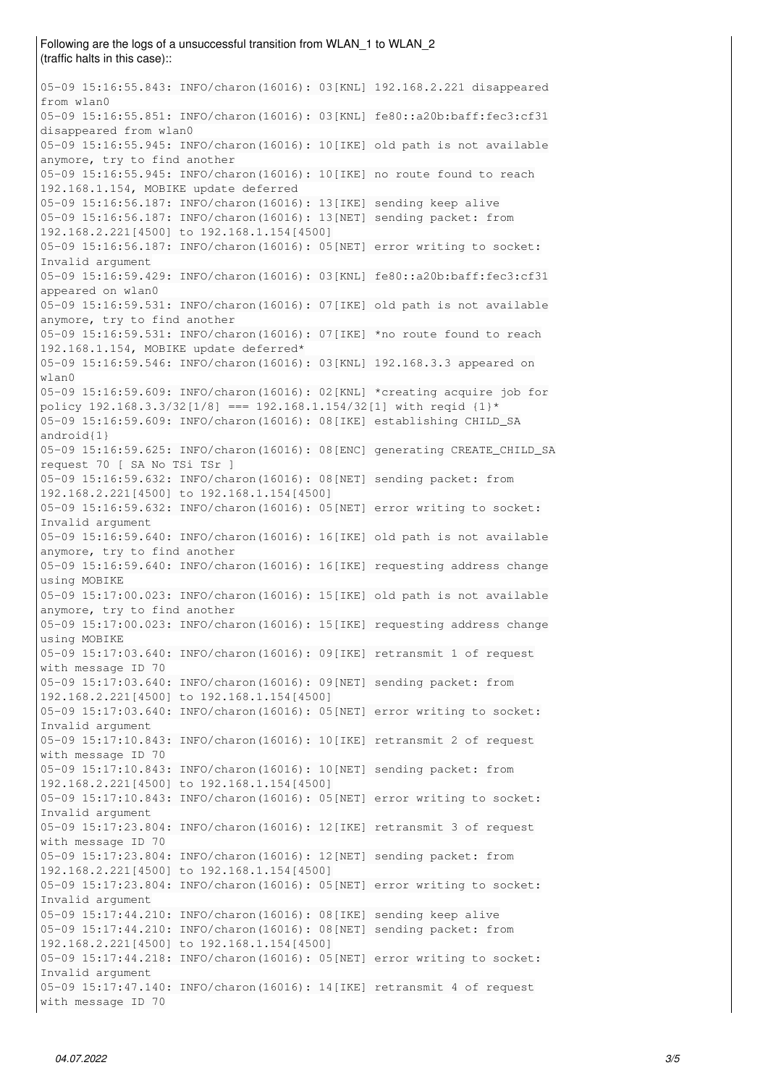Following are the logs of a unsuccessful transition from WLAN\_1 to WLAN\_2 (traffic halts in this case):: 05-09 15:16:55.843: INFO/charon(16016): 03[KNL] 192.168.2.221 disappeared from wlan0 05-09 15:16:55.851: INFO/charon(16016): 03[KNL] fe80::a20b:baff:fec3:cf31 disappeared from wlan0 05-09 15:16:55.945: INFO/charon(16016): 10[IKE] old path is not available anymore, try to find another 05-09 15:16:55.945: INFO/charon(16016): 10[IKE] no route found to reach 192.168.1.154, MOBIKE update deferred 05-09 15:16:56.187: INFO/charon(16016): 13[IKE] sending keep alive 05-09 15:16:56.187: INFO/charon(16016): 13[NET] sending packet: from 192.168.2.221[4500] to 192.168.1.154[4500] 05-09 15:16:56.187: INFO/charon(16016): 05[NET] error writing to socket: Invalid argument 05-09 15:16:59.429: INFO/charon(16016): 03[KNL] fe80::a20b:baff:fec3:cf31 appeared on wlan0 05-09 15:16:59.531: INFO/charon(16016): 07[IKE] old path is not available anymore, try to find another 05-09 15:16:59.531: INFO/charon(16016): 07[IKE] \*no route found to reach 192.168.1.154, MOBIKE update deferred\* 05-09 15:16:59.546: INFO/charon(16016): 03[KNL] 192.168.3.3 appeared on wlan0 05-09 15:16:59.609: INFO/charon(16016): 02[KNL] \*creating acquire job for policy  $192.168.3.3/32[1/8] == 192.168.1.154/32[1] with  $reqid(1)^*$$ 05-09 15:16:59.609: INFO/charon(16016): 08[IKE] establishing CHILD\_SA android{1} 05-09 15:16:59.625: INFO/charon(16016): 08[ENC] generating CREATE\_CHILD\_SA request 70 [ SA No TSi TSr ] 05-09 15:16:59.632: INFO/charon(16016): 08[NET] sending packet: from 192.168.2.221[4500] to 192.168.1.154[4500] 05-09 15:16:59.632: INFO/charon(16016): 05[NET] error writing to socket: Invalid argument 05-09 15:16:59.640: INFO/charon(16016): 16[IKE] old path is not available anymore, try to find another 05-09 15:16:59.640: INFO/charon(16016): 16[IKE] requesting address change using MOBIKE 05-09 15:17:00.023: INFO/charon(16016): 15[IKE] old path is not available anymore, try to find another 05-09 15:17:00.023: INFO/charon(16016): 15[IKE] requesting address change using MOBIKE 05-09 15:17:03.640: INFO/charon(16016): 09[IKE] retransmit 1 of request with message ID 70 05-09 15:17:03.640: INFO/charon(16016): 09[NET] sending packet: from 192.168.2.221[4500] to 192.168.1.154[4500] 05-09 15:17:03.640: INFO/charon(16016): 05[NET] error writing to socket: Invalid argument 05-09 15:17:10.843: INFO/charon(16016): 10[IKE] retransmit 2 of request with message ID 70 05-09 15:17:10.843: INFO/charon(16016): 10[NET] sending packet: from 192.168.2.221[4500] to 192.168.1.154[4500] 05-09 15:17:10.843: INFO/charon(16016): 05[NET] error writing to socket: Invalid argument 05-09 15:17:23.804: INFO/charon(16016): 12[IKE] retransmit 3 of request with message ID 70 05-09 15:17:23.804: INFO/charon(16016): 12[NET] sending packet: from

192.168.2.221[4500] to 192.168.1.154[4500] 05-09 15:17:23.804: INFO/charon(16016): 05[NET] error writing to socket: Invalid argument 05-09 15:17:44.210: INFO/charon(16016): 08[IKE] sending keep alive 05-09 15:17:44.210: INFO/charon(16016): 08[NET] sending packet: from 192.168.2.221[4500] to 192.168.1.154[4500] 05-09 15:17:44.218: INFO/charon(16016): 05[NET] error writing to socket: Invalid argument 05-09 15:17:47.140: INFO/charon(16016): 14[IKE] retransmit 4 of request with message ID 70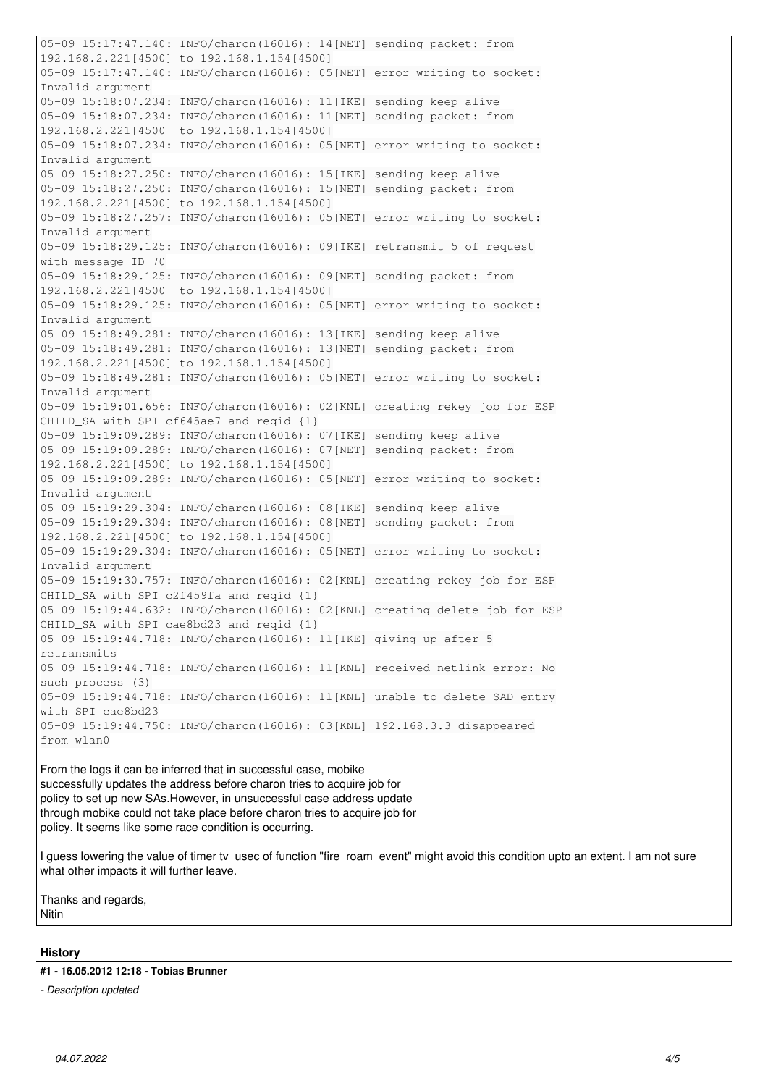05-09 15:17:47.140: INFO/charon(16016): 14[NET] sending packet: from 192.168.2.221[4500] to 192.168.1.154[4500] 05-09 15:17:47.140: INFO/charon(16016): 05[NET] error writing to socket: Invalid argument 05-09 15:18:07.234: INFO/charon(16016): 11[IKE] sending keep alive 05-09 15:18:07.234: INFO/charon(16016): 11[NET] sending packet: from 192.168.2.221[4500] to 192.168.1.154[4500] 05-09 15:18:07.234: INFO/charon(16016): 05[NET] error writing to socket: Invalid argument 05-09 15:18:27.250: INFO/charon(16016): 15[IKE] sending keep alive 05-09 15:18:27.250: INFO/charon(16016): 15[NET] sending packet: from 192.168.2.221[4500] to 192.168.1.154[4500] 05-09 15:18:27.257: INFO/charon(16016): 05[NET] error writing to socket: Invalid argument 05-09 15:18:29.125: INFO/charon(16016): 09[IKE] retransmit 5 of request with message ID 70 05-09 15:18:29.125: INFO/charon(16016): 09[NET] sending packet: from 192.168.2.221[4500] to 192.168.1.154[4500] 05-09 15:18:29.125: INFO/charon(16016): 05[NET] error writing to socket: Invalid argument 05-09 15:18:49.281: INFO/charon(16016): 13[IKE] sending keep alive 05-09 15:18:49.281: INFO/charon(16016): 13[NET] sending packet: from 192.168.2.221[4500] to 192.168.1.154[4500] 05-09 15:18:49.281: INFO/charon(16016): 05[NET] error writing to socket: Invalid argument 05-09 15:19:01.656: INFO/charon(16016): 02[KNL] creating rekey job for ESP CHILD\_SA with SPI cf645ae7 and reqid {1} 05-09 15:19:09.289: INFO/charon(16016): 07[IKE] sending keep alive 05-09 15:19:09.289: INFO/charon(16016): 07[NET] sending packet: from 192.168.2.221[4500] to 192.168.1.154[4500] 05-09 15:19:09.289: INFO/charon(16016): 05[NET] error writing to socket: Invalid argument 05-09 15:19:29.304: INFO/charon(16016): 08[IKE] sending keep alive 05-09 15:19:29.304: INFO/charon(16016): 08[NET] sending packet: from 192.168.2.221[4500] to 192.168.1.154[4500] 05-09 15:19:29.304: INFO/charon(16016): 05[NET] error writing to socket: Invalid argument 05-09 15:19:30.757: INFO/charon(16016): 02[KNL] creating rekey job for ESP CHILD\_SA with SPI c2f459fa and reqid {1} 05-09 15:19:44.632: INFO/charon(16016): 02[KNL] creating delete job for ESP CHILD\_SA with SPI cae8bd23 and reqid {1} 05-09 15:19:44.718: INFO/charon(16016): 11[IKE] giving up after 5 retransmits 05-09 15:19:44.718: INFO/charon(16016): 11[KNL] received netlink error: No such process (3) 05-09 15:19:44.718: INFO/charon(16016): 11[KNL] unable to delete SAD entry with SPI cae8bd23 05-09 15:19:44.750: INFO/charon(16016): 03[KNL] 192.168.3.3 disappeared from wlan0

From the logs it can be inferred that in successful case, mobike successfully updates the address before charon tries to acquire job for policy to set up new SAs.However, in unsuccessful case address update through mobike could not take place before charon tries to acquire job for policy. It seems like some race condition is occurring.

I guess lowering the value of timer ty usec of function "fire roam event" might avoid this condition upto an extent. I am not sure what other impacts it will further leave.

Thanks and regards,

### Nitin

### **History**

**#1 - 16.05.2012 12:18 - Tobias Brunner**

*- Description updated*